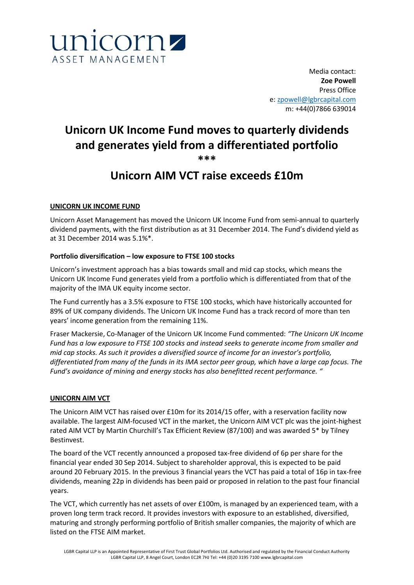

Media contact: **Zoe Powell** Press Office e: [zpowell@lgbrcapital.com](mailto:zpowell@lgbrcapital.com) m: +44(0)7866 639014

# **Unicorn UK Income Fund moves to quarterly dividends and generates yield from a differentiated portfolio \*\*\***

# **Unicorn AIM VCT raise exceeds £10m**

# **UNICORN UK INCOME FUND**

Unicorn Asset Management has moved the Unicorn UK Income Fund from semi-annual to quarterly dividend payments, with the first distribution as at 31 December 2014. The Fund's dividend yield as at 31 December 2014 was 5.1%\*.

# **Portfolio diversification – low exposure to FTSE 100 stocks**

Unicorn's investment approach has a bias towards small and mid cap stocks, which means the Unicorn UK Income Fund generates yield from a portfolio which is differentiated from that of the majority of the IMA UK equity income sector.

The Fund currently has a 3.5% exposure to FTSE 100 stocks, which have historically accounted for 89% of UK company dividends. The Unicorn UK Income Fund has a track record of more than ten years' income generation from the remaining 11%.

Fraser Mackersie, Co-Manager of the Unicorn UK Income Fund commented: *"The Unicorn UK Income Fund has a low exposure to FTSE 100 stocks and instead seeks to generate income from smaller and mid cap stocks. As such it provides a diversified source of income for an investor's portfolio, differentiated from many of the funds in its IMA sector peer group, which have a large cap focus. The Fund's avoidance of mining and energy stocks has also benefitted recent performance. "*

# **UNICORN AIM VCT**

The Unicorn AIM VCT has raised over £10m for its 2014/15 offer, with a reservation facility now available. The largest AIM-focused VCT in the market, the Unicorn AIM VCT plc was the joint-highest rated AIM VCT by Martin Churchill's Tax Efficient Review (87/100) and was awarded 5\* by Tilney Bestinvest.

The board of the VCT recently announced a proposed tax-free dividend of 6p per share for the financial year ended 30 Sep 2014. Subject to shareholder approval, this is expected to be paid around 20 February 2015. In the previous 3 financial years the VCT has paid a total of 16p in tax-free dividends, meaning 22p in dividends has been paid or proposed in relation to the past four financial years.

The VCT, which currently has net assets of over £100m, is managed by an experienced team, with a proven long term track record. It provides investors with exposure to an established, diversified, maturing and strongly performing portfolio of British smaller companies, the majority of which are listed on the FTSE AIM market.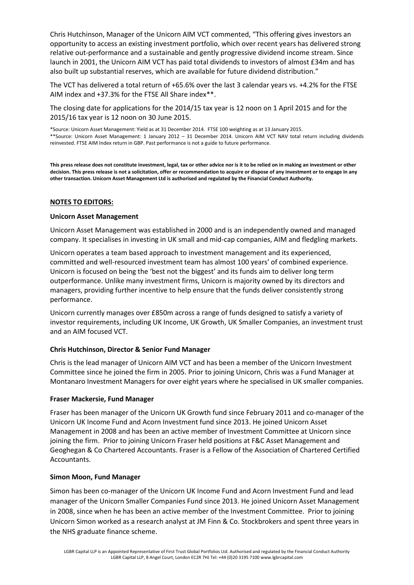Chris Hutchinson, Manager of the Unicorn AIM VCT commented, "This offering gives investors an opportunity to access an existing investment portfolio, which over recent years has delivered strong relative out-performance and a sustainable and gently progressive dividend income stream. Since launch in 2001, the Unicorn AIM VCT has paid total dividends to investors of almost £34m and has also built up substantial reserves, which are available for future dividend distribution."

The VCT has delivered a total return of +65.6% over the last 3 calendar years vs. +4.2% for the FTSE AIM index and +37.3% for the FTSE All Share index\*\*.

The closing date for applications for the 2014/15 tax year is 12 noon on 1 April 2015 and for the 2015/16 tax year is 12 noon on 30 June 2015.

\*Source: Unicorn Asset Management: Yield as at 31 December 2014. FTSE 100 weighting as at 13 January 2015. \*\*Source: Unicorn Asset Management: 1 January 2012 – 31 December 2014. Unicorn AIM VCT NAV total return including dividends reinvested. FTSE AIM Index return in GBP. Past performance is not a guide to future performance.

**This press release does not constitute investment, legal, tax or other advice nor is it to be relied on in making an investment or other decision. This press release is not a solicitation, offer or recommendation to acquire or dispose of any investment or to engage in any other transaction. Unicorn Asset Management Ltd is authorised and regulated by the Financial Conduct Authority.**

# **NOTES TO EDITORS:**

# **Unicorn Asset Management**

Unicorn Asset Management was established in 2000 and is an independently owned and managed company. It specialises in investing in UK small and mid-cap companies, AIM and fledgling markets.

Unicorn operates a team based approach to investment management and its experienced, committed and well-resourced investment team has almost 100 years' of combined experience. Unicorn is focused on being the 'best not the biggest' and its funds aim to deliver long term outperformance. Unlike many investment firms, Unicorn is majority owned by its directors and managers, providing further incentive to help ensure that the funds deliver consistently strong performance.

Unicorn currently manages over £850m across a range of funds designed to satisfy a variety of investor requirements, including UK Income, UK Growth, UK Smaller Companies, an investment trust and an AIM focused VCT.

# **Chris Hutchinson, Director & Senior Fund Manager**

Chris is the lead manager of Unicorn AIM VCT and has been a member of the Unicorn Investment Committee since he joined the firm in 2005. Prior to joining Unicorn, Chris was a Fund Manager at Montanaro Investment Managers for over eight years where he specialised in UK smaller companies.

# **Fraser Mackersie, Fund Manager**

Fraser has been manager of the Unicorn UK Growth fund since February 2011 and co-manager of the Unicorn UK Income Fund and Acorn Investment fund since 2013. He joined Unicorn Asset Management in 2008 and has been an active member of Investment Committee at Unicorn since joining the firm. Prior to joining Unicorn Fraser held positions at F&C Asset Management and Geoghegan & Co Chartered Accountants. Fraser is a Fellow of the Association of Chartered Certified Accountants.

# **Simon Moon, Fund Manager**

Simon has been co-manager of the Unicorn UK Income Fund and Acorn Investment Fund and lead manager of the Unicorn Smaller Companies Fund since 2013. He joined Unicorn Asset Management in 2008, since when he has been an active member of the Investment Committee. Prior to joining Unicorn Simon worked as a research analyst at JM Finn & Co. Stockbrokers and spent three years in the NHS graduate finance scheme.